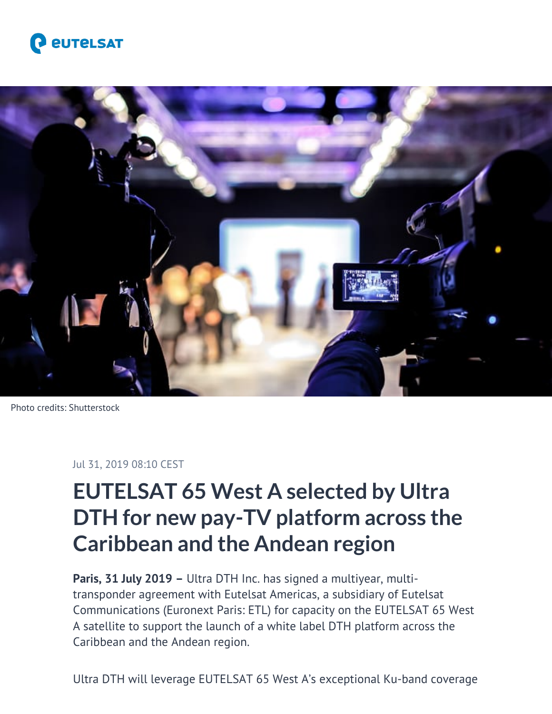



Photo credits: Shutterstock

## Jul 31, 2019 08:10 CEST

## **EUTELSAT 65 West A selected by Ultra DTH for new pay-TV platform across the Caribbean and the Andean region**

Paris, 31 July 2019 - Ultra DTH Inc. has signed a multiyear, multitransponder agreement with Eutelsat Americas, a subsidiary of Eutelsat Communications (Euronext Paris: ETL) for capacity on the EUTELSAT 65 West A satellite to support the launch of a white label DTH platform across the Caribbean and the Andean region.

Ultra DTH will leverage EUTELSAT 65 West A's exceptional Ku-band coverage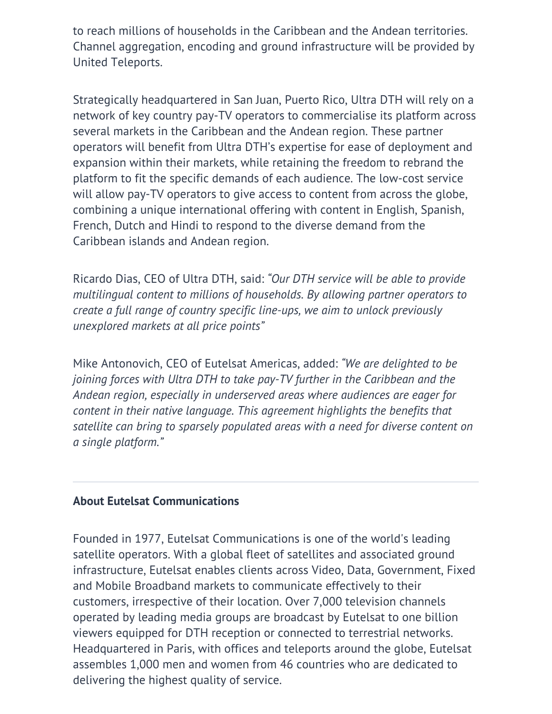to reach millions of households in the Caribbean and the Andean territories. Channel aggregation, encoding and ground infrastructure will be provided by United Teleports.

Strategically headquartered in San Juan, Puerto Rico, Ultra DTH will rely on a network of key country pay-TV operators to commercialise its platform across several markets in the Caribbean and the Andean region. These partner operators will benefit from Ultra DTH's expertise for ease of deployment and expansion within their markets, while retaining the freedom to rebrand the platform to fit the specific demands of each audience. The low-cost service will allow pay-TV operators to give access to content from across the globe, combining a unique international offering with content in English, Spanish, French, Dutch and Hindi to respond to the diverse demand from the Caribbean islands and Andean region.

Ricardo Dias, CEO of Ultra DTH, said: *"Our DTH service will be able to provide multilingual content to millions of households. By allowing partner operators to create a full range of country specific line-ups, we aim to unlock previously unexplored markets at all price points"*

Mike Antonovich, CEO of Eutelsat Americas, added: *"We are delighted to be joining forces with Ultra DTH to take pay-TV further in the Caribbean and the Andean region, especially in underserved areas where audiences are eager for content in their native language. This agreement highlights the benefits that satellite can bring to sparsely populated areas with a need for diverse content on a single platform."*

## **About Eutelsat Communications**

Founded in 1977, Eutelsat Communications is one of the world's leading satellite operators. With a global fleet of satellites and associated ground infrastructure, Eutelsat enables clients across Video, Data, Government, Fixed and Mobile Broadband markets to communicate effectively to their customers, irrespective of their location. Over 7,000 television channels operated by leading media groups are broadcast by Eutelsat to one billion viewers equipped for DTH reception or connected to terrestrial networks. Headquartered in Paris, with offices and teleports around the globe, Eutelsat assembles 1,000 men and women from 46 countries who are dedicated to delivering the highest quality of service.